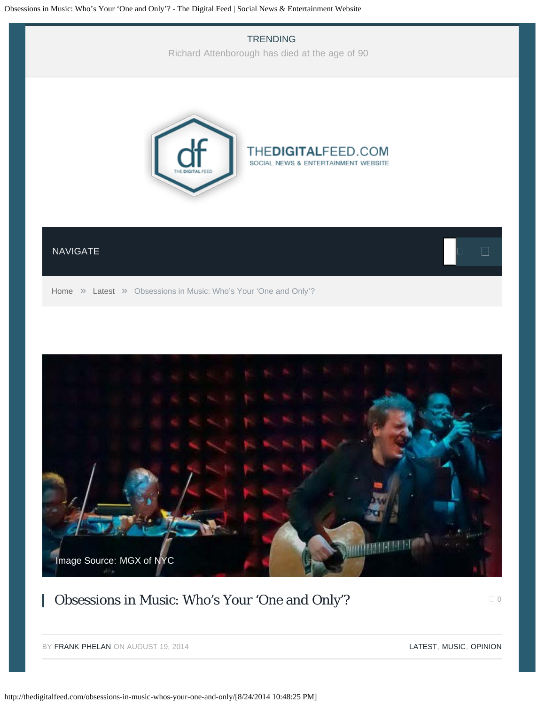<span id="page-0-0"></span>

# Obsessions in Music: Who's Your 'One and Only'?

 $\Box$  [0](#page-0-0)

BY [FRANK PHELAN](http://thedigitalfeed.com/author/frank/) ON AUGUST 19, 2014 **[LATEST,](http://thedigitalfeed.com/category/latest/) [MUSIC,](http://thedigitalfeed.com/category/music/) [OPINION](http://thedigitalfeed.com/category/opinion/)** 

[Image Source: MGX of NYC](http://thedigitalfeed.com/wp-content/uploads/2014/08/frank.jpg)

**MANIFERENTIAL**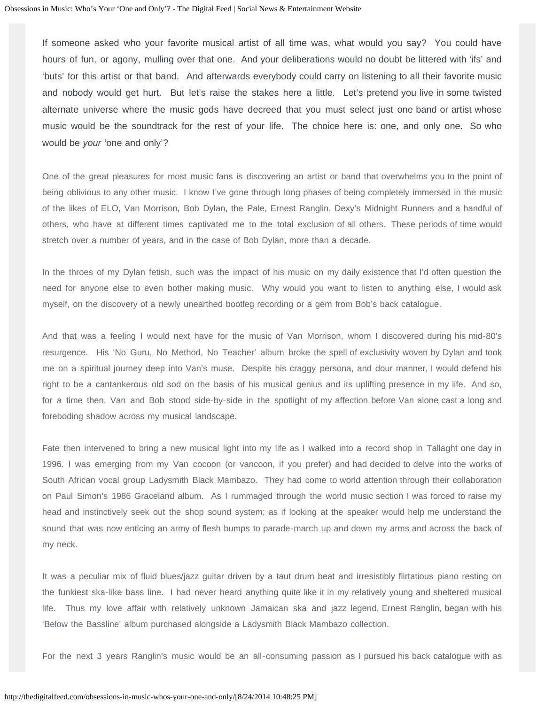If someone asked who your favorite musical artist of all time was, what would you say? You could have hours of fun, or agony, mulling over that one. And your deliberations would no doubt be littered with 'ifs' and 'buts' for this artist or that band. And afterwards everybody could carry on listening to all their favorite music and nobody would get hurt. But let's raise the stakes here a little. Let's pretend you live in some twisted alternate universe where the music gods have decreed that you must select just one band or artist whose music would be the soundtrack for the rest of your life. The choice here is: one, and only one. So who would be *your* 'one and only'?

One of the great pleasures for most music fans is discovering an artist or band that overwhelms you to the point of being oblivious to any other music. I know I've gone through long phases of being completely immersed in the music of the likes of ELO, Van Morrison, Bob Dylan, the Pale, Ernest Ranglin, Dexy's Midnight Runners and a handful of others, who have at different times captivated me to the total exclusion of all others. These periods of time would stretch over a number of years, and in the case of Bob Dylan, more than a decade.

In the throes of my Dylan fetish, such was the impact of his music on my daily existence that I'd often question the need for anyone else to even bother making music. Why would you want to listen to anything else, I would ask myself, on the discovery of a newly unearthed bootleg recording or a gem from Bob's back catalogue.

And that was a feeling I would next have for the music of Van Morrison, whom I discovered during his mid-80's resurgence. His 'No Guru, No Method, No Teacher' album broke the spell of exclusivity woven by Dylan and took me on a spiritual journey deep into Van's muse. Despite his craggy persona, and dour manner, I would defend his right to be a cantankerous old sod on the basis of his musical genius and its uplifting presence in my life. And so, for a time then, Van and Bob stood side-by-side in the spotlight of my affection before Van alone cast a long and foreboding shadow across my musical landscape.

Fate then intervened to bring a new musical light into my life as I walked into a record shop in Tallaght one day in 1996. I was emerging from my Van cocoon (or vancoon, if you prefer) and had decided to delve into the works of South African vocal group Ladysmith Black Mambazo. They had come to world attention through their collaboration on Paul Simon's 1986 Graceland album. As I rummaged through the world music section I was forced to raise my head and instinctively seek out the shop sound system; as if looking at the speaker would help me understand the sound that was now enticing an army of flesh bumps to parade-march up and down my arms and across the back of my neck.

It was a peculiar mix of fluid blues/jazz guitar driven by a taut drum beat and irresistibly flirtatious piano resting on the funkiest ska-like bass line. I had never heard anything quite like it in my relatively young and sheltered musical life. Thus my love affair with relatively unknown Jamaican ska and jazz legend, Ernest Ranglin, began with his 'Below the Bassline' album purchased alongside a Ladysmith Black Mambazo collection.

For the next 3 years Ranglin's music would be an all-consuming passion as I pursued his back catalogue with as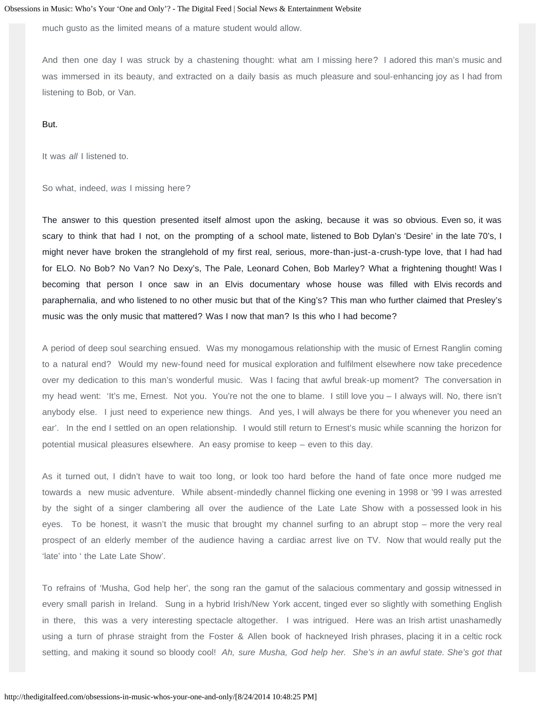much gusto as the limited means of a mature student would allow.

And then one day I was struck by a chastening thought: what am I missing here? I adored this man's music and was immersed in its beauty, and extracted on a daily basis as much pleasure and soul-enhancing joy as I had from listening to Bob, or Van.

But.

It was *all* I listened to.

So what, indeed, *was* I missing here?

The answer to this question presented itself almost upon the asking, because it was so obvious. Even so, it was scary to think that had I not, on the prompting of a school mate, listened to Bob Dylan's 'Desire' in the late 70's, I might never have broken the stranglehold of my first real, serious, more-than-just-a-crush-type love, that I had had for ELO. No Bob? No Van? No Dexy's, The Pale, Leonard Cohen, Bob Marley? What a frightening thought! Was I becoming that person I once saw in an Elvis documentary whose house was filled with Elvis records and paraphernalia, and who listened to no other music but that of the King's? This man who further claimed that Presley's music was the only music that mattered? Was I now that man? Is this who I had become?

A period of deep soul searching ensued. Was my monogamous relationship with the music of Ernest Ranglin coming to a natural end? Would my new-found need for musical exploration and fulfilment elsewhere now take precedence over my dedication to this man's wonderful music. Was I facing that awful break-up moment? The conversation in my head went: 'It's me, Ernest. Not you. You're not the one to blame. I still love you – I always will. No, there isn't anybody else. I just need to experience new things. And yes, I will always be there for you whenever you need an ear'. In the end I settled on an open relationship. I would still return to Ernest's music while scanning the horizon for potential musical pleasures elsewhere. An easy promise to keep – even to this day.

As it turned out, I didn't have to wait too long, or look too hard before the hand of fate once more nudged me towards a new music adventure. While absent-mindedly channel flicking one evening in 1998 or '99 I was arrested by the sight of a singer clambering all over the audience of the Late Late Show with a possessed look in his eyes. To be honest, it wasn't the music that brought my channel surfing to an abrupt stop – more the very real prospect of an elderly member of the audience having a cardiac arrest live on TV. Now that would really put the 'late' into ' the Late Late Show'.

To refrains of 'Musha, God help her', the song ran the gamut of the salacious commentary and gossip witnessed in every small parish in Ireland. Sung in a hybrid Irish/New York accent, tinged ever so slightly with something English in there, this was a very interesting spectacle altogether. I was intrigued. Here was an Irish artist unashamedly using a turn of phrase straight from the Foster & Allen book of hackneyed Irish phrases, placing it in a celtic rock setting, and making it sound so bloody cool! *Ah, sure Musha, God help her. She's in an awful state. She's got that*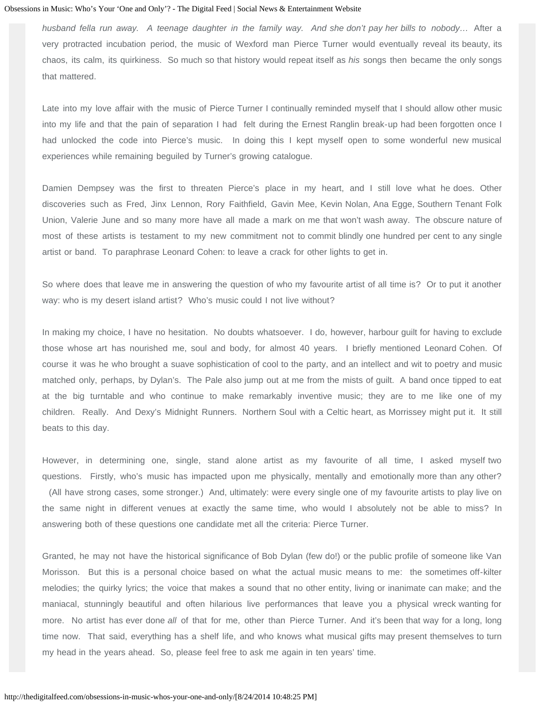*husband fella run away. A teenage daughter in the family way. And she don't pay her bills to nobody…* After a very protracted incubation period, the music of Wexford man Pierce Turner would eventually reveal its beauty, its chaos, its calm, its quirkiness. So much so that history would repeat itself as *his* songs then became the only songs that mattered.

Late into my love affair with the music of Pierce Turner I continually reminded myself that I should allow other music into my life and that the pain of separation I had felt during the Ernest Ranglin break-up had been forgotten once I had unlocked the code into Pierce's music. In doing this I kept myself open to some wonderful new musical experiences while remaining beguiled by Turner's growing catalogue.

Damien Dempsey was the first to threaten Pierce's place in my heart, and I still love what he does. Other discoveries such as Fred, Jinx Lennon, Rory Faithfield, Gavin Mee, Kevin Nolan, Ana Egge, Southern Tenant Folk Union, Valerie June and so many more have all made a mark on me that won't wash away. The obscure nature of most of these artists is testament to my new commitment not to commit blindly one hundred per cent to any single artist or band. To paraphrase Leonard Cohen: to leave a crack for other lights to get in.

So where does that leave me in answering the question of who my favourite artist of all time is? Or to put it another way: who is my desert island artist? Who's music could I not live without?

In making my choice, I have no hesitation. No doubts whatsoever. I do, however, harbour guilt for having to exclude those whose art has nourished me, soul and body, for almost 40 years. I briefly mentioned Leonard Cohen. Of course it was he who brought a suave sophistication of cool to the party, and an intellect and wit to poetry and music matched only, perhaps, by Dylan's. The Pale also jump out at me from the mists of guilt. A band once tipped to eat at the big turntable and who continue to make remarkably inventive music; they are to me like one of my children. Really. And Dexy's Midnight Runners. Northern Soul with a Celtic heart, as Morrissey might put it. It still beats to this day.

However, in determining one, single, stand alone artist as my favourite of all time, I asked myself two questions. Firstly, who's music has impacted upon me physically, mentally and emotionally more than any other? (All have strong cases, some stronger.) And, ultimately: were every single one of my favourite artists to play live on the same night in different venues at exactly the same time, who would I absolutely not be able to miss? In answering both of these questions one candidate met all the criteria: Pierce Turner.

Granted, he may not have the historical significance of Bob Dylan (few do!) or the public profile of someone like Van Morisson. But this is a personal choice based on what the actual music means to me: the sometimes off-kilter melodies; the quirky lyrics; the voice that makes a sound that no other entity, living or inanimate can make; and the maniacal, stunningly beautiful and often hilarious live performances that leave you a physical wreck wanting for more. No artist has ever done *all* of that for me, other than Pierce Turner. And it's been that way for a long, long time now. That said, everything has a shelf life, and who knows what musical gifts may present themselves to turn my head in the years ahead. So, please feel free to ask me again in ten years' time.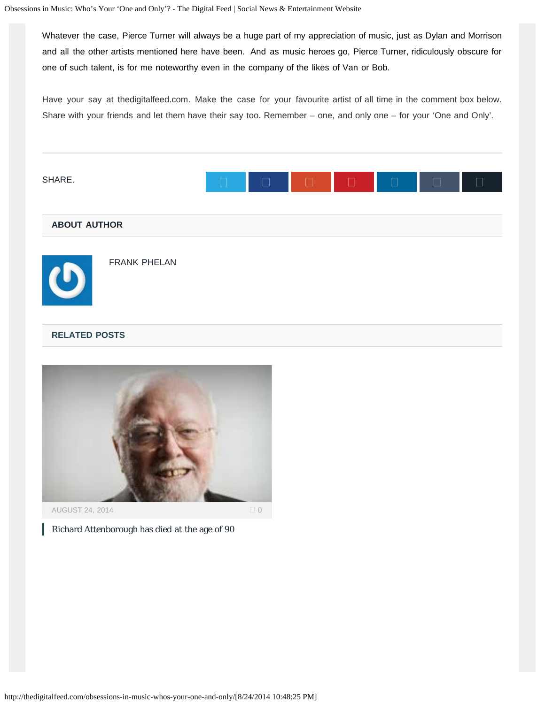Whatever the case, Pierce Turner will always be a huge part of my appreciation of music, just as Dylan and Morrison and all the other artists mentioned here have been. And as music heroes go, Pierce Turner, ridiculously obscure for one of such talent, is for me noteworthy even in the company of the likes of Van or Bob.

Have your say at thedigitalfeed.com. Make the case for your favourite artist of all time in the comment box below. Share with your friends and let them have their say too. Remember – one, and only one – for your 'One and Only'.





[Richard Attenborough has died at the age of 90](http://thedigitalfeed.com/richard-attenborough-has-died-at-the-age-of-90/)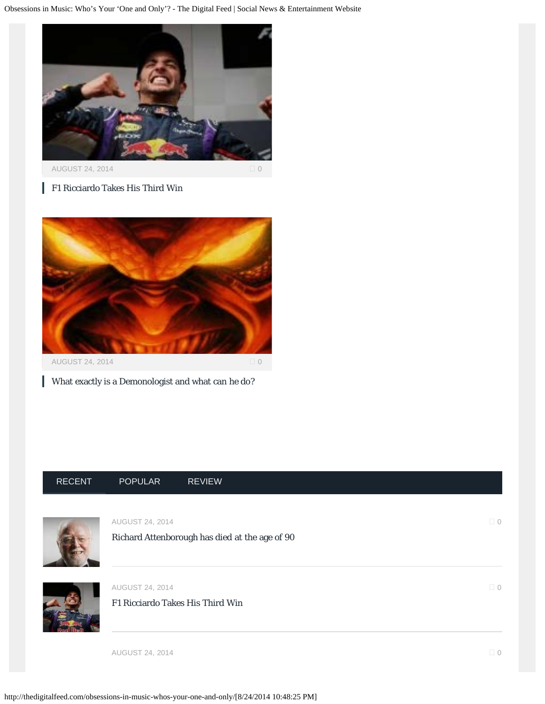

[AUGUST 24, 2014](http://thedigitalfeed.com/f1-ricciardo-takes-third-win/) 0

[F1 Ricciardo Takes His Third Win](http://thedigitalfeed.com/f1-ricciardo-takes-third-win/)



[What exactly is a Demonologist and what can he do?](http://thedigitalfeed.com/exactly-demonologist-can/)

# [RECENT](#page-0-0) [POPULAR](#page-0-0) [REVIEW](#page-0-0)



AUGUST 24, 2014  $\Box$  [0](http://thedigitalfeed.com/richard-attenborough-has-died-at-the-age-of-90/#comments)

[Richard Attenborough has died at the age of 90](http://thedigitalfeed.com/richard-attenborough-has-died-at-the-age-of-90/)



AUGUST 24, 2014  $\Box$  [0](http://thedigitalfeed.com/f1-ricciardo-takes-third-win/#comments)

[F1 Ricciardo Takes His Third Win](http://thedigitalfeed.com/f1-ricciardo-takes-third-win/)

AUGUST 24, 2014  $\Box$  [0](http://thedigitalfeed.com/exactly-demonologist-can/#comments)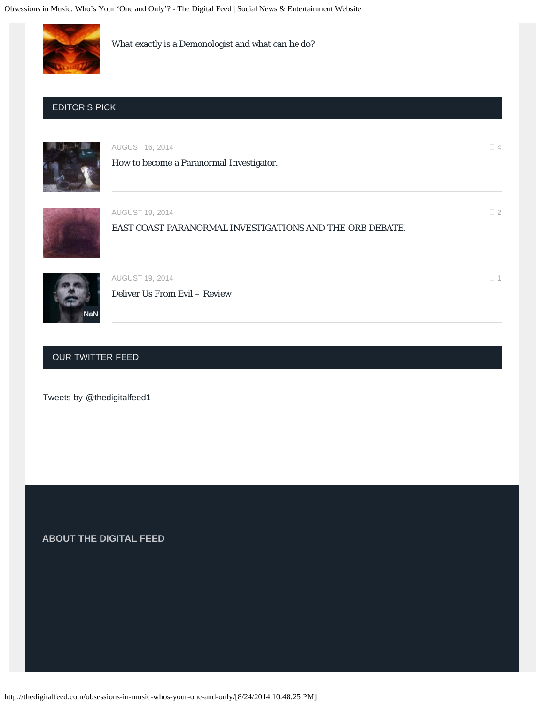

[What exactly is a Demonologist and what can he do?](http://thedigitalfeed.com/exactly-demonologist-can/)

#### EDITOR'S PICK



AUGUST 16, 2014  $\Box$  [4](http://thedigitalfeed.com/how-to-become-a-paranormal-investigator/#comments) [How to become a Paranormal Investigator.](http://thedigitalfeed.com/how-to-become-a-paranormal-investigator/)

AUGUST 19, [2](http://thedigitalfeed.com/east-coast-paranormal-investigations-and-the-orb-debate/#comments)014  $\Box$  2

[EAST COAST PARANORMAL INVESTIGATIONS AND THE ORB DEBATE.](http://thedigitalfeed.com/east-coast-paranormal-investigations-and-the-orb-debate/)



AUGUST [1](http://thedigitalfeed.com/deliver-us-from-evil-review/#comments)9, 2014  $\Box$  1

[Deliver Us From Evil – Review](http://thedigitalfeed.com/deliver-us-from-evil-review/)

### OUR TWITTER FEED

[Tweets by @thedigitalfeed1](https://twitter.com/thedigitalfeed1)

**ABOUT THE DIGITAL FEED**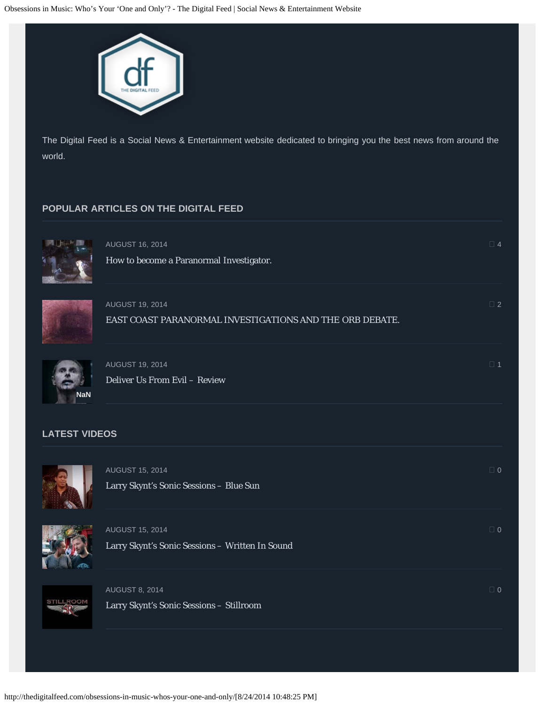

The Digital Feed is a Social News & Entertainment website dedicated to bringing you the best news from around the world.

# **POPULAR ARTICLES ON THE DIGITAL FEED**



[How to become a Paranormal Investigator.](http://thedigitalfeed.com/how-to-become-a-paranormal-investigator/)



AUGUST 19, [2](http://thedigitalfeed.com/east-coast-paranormal-investigations-and-the-orb-debate/#comments)014  $\square$ [EAST COAST PARANORMAL INVESTIGATIONS AND THE ORB DEBATE.](http://thedigitalfeed.com/east-coast-paranormal-investigations-and-the-orb-debate/)

AUGUST 16, 2014  $\Box$  [4](http://thedigitalfeed.com/how-to-become-a-paranormal-investigator/#comments)



AUGUST [1](http://thedigitalfeed.com/deliver-us-from-evil-review/#comments)9, 2014  $\Box$  1 [Deliver Us From Evil – Review](http://thedigitalfeed.com/deliver-us-from-evil-review/)

# **LATEST VIDEOS**



AUGUST 15, 2014  $\hfill$ [Larry Skynt's Sonic Sessions – Blue Sun](http://thedigitalfeed.com/larry-skynts-sonic-sessions-blue-sun/)



AUGUST 15, 2014  $\hfill$ [Larry Skynt's Sonic Sessions – Written In Sound](http://thedigitalfeed.com/larry-skynts-sonic-sessions-written-in-sound/)



AUGUST 8, 2014  $\Box$  [0](http://thedigitalfeed.com/larry-skynts-sonic-sessions-stillroom/#comments) [Larry Skynt's Sonic Sessions – Stillroom](http://thedigitalfeed.com/larry-skynts-sonic-sessions-stillroom/)